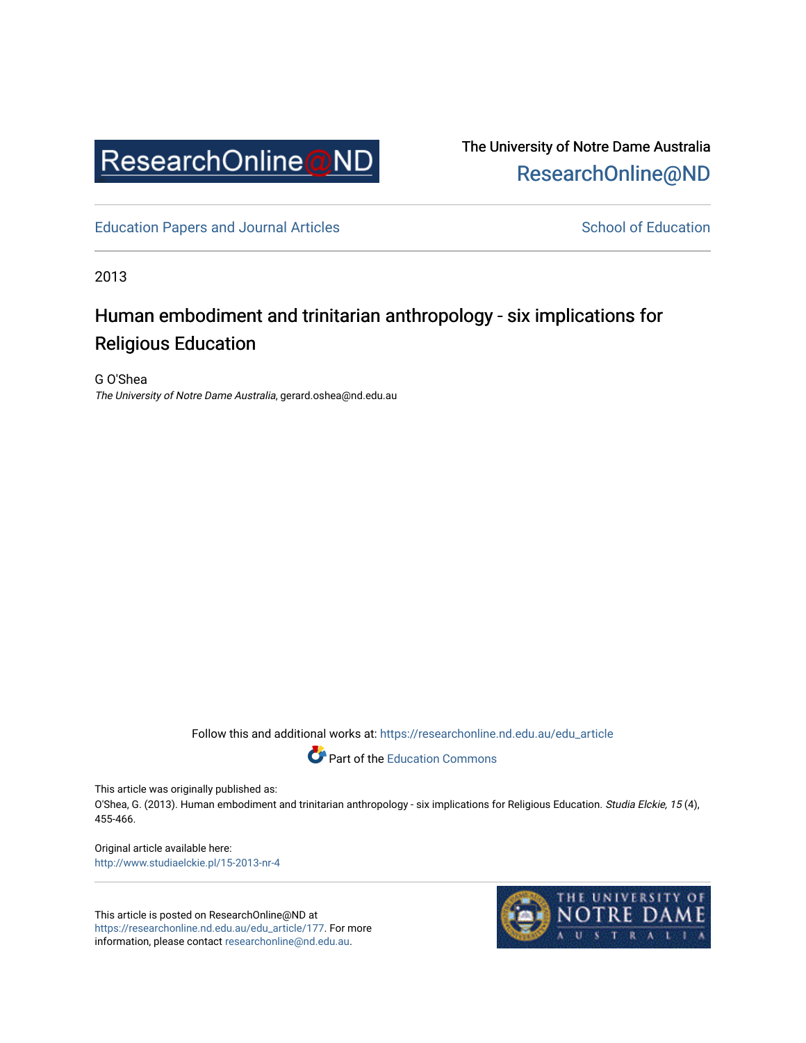

The University of Notre Dame Australia [ResearchOnline@ND](https://researchonline.nd.edu.au/) 

[Education Papers and Journal Articles](https://researchonline.nd.edu.au/edu_article) [School of Education](https://researchonline.nd.edu.au/edu) School of Education

2013

# Human embodiment and trinitarian anthropology - six implications for Religious Education

G O'Shea The University of Notre Dame Australia, gerard.oshea@nd.edu.au

Follow this and additional works at: [https://researchonline.nd.edu.au/edu\\_article](https://researchonline.nd.edu.au/edu_article?utm_source=researchonline.nd.edu.au%2Fedu_article%2F177&utm_medium=PDF&utm_campaign=PDFCoverPages)



This article was originally published as:

O'Shea, G. (2013). Human embodiment and trinitarian anthropology - six implications for Religious Education. Studia Elckie, 15 (4), 455-466.

Original article available here: <http://www.studiaelckie.pl/15-2013-nr-4>

This article is posted on ResearchOnline@ND at [https://researchonline.nd.edu.au/edu\\_article/177](https://researchonline.nd.edu.au/edu_article/177). For more information, please contact [researchonline@nd.edu.au.](mailto:researchonline@nd.edu.au)

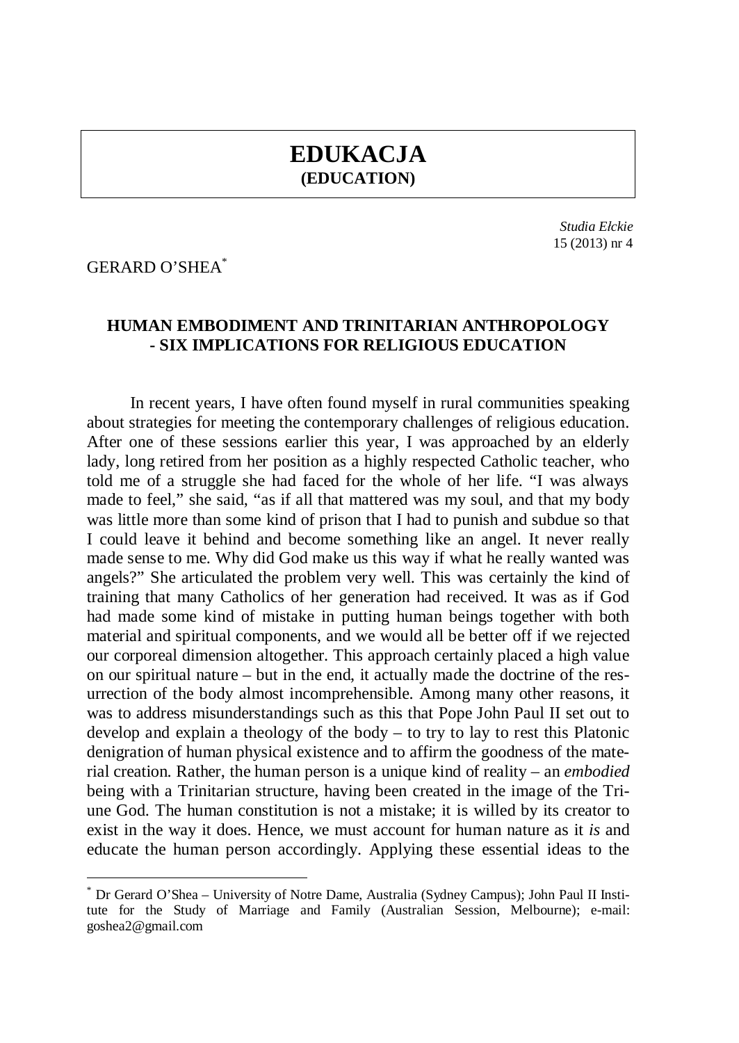# **EDUKACJA (EDUCATION)**

*Studia Eáckie* 15 (2013) nr 4

# GERARD O'SHEA\*

 $\overline{a}$ 

# **HUMAN EMBODIMENT AND TRINITARIAN ANTHROPOLOGY - SIX IMPLICATIONS FOR RELIGIOUS EDUCATION**

In recent years, I have often found myself in rural communities speaking about strategies for meeting the contemporary challenges of religious education. After one of these sessions earlier this year, I was approached by an elderly lady, long retired from her position as a highly respected Catholic teacher, who told me of a struggle she had faced for the whole of her life. "I was always made to feel," she said, "as if all that mattered was my soul, and that my body was little more than some kind of prison that I had to punish and subdue so that I could leave it behind and become something like an angel. It never really made sense to me. Why did God make us this way if what he really wanted was angels?" She articulated the problem very well. This was certainly the kind of training that many Catholics of her generation had received. It was as if God had made some kind of mistake in putting human beings together with both material and spiritual components, and we would all be better off if we rejected our corporeal dimension altogether. This approach certainly placed a high value on our spiritual nature – but in the end, it actually made the doctrine of the resurrection of the body almost incomprehensible. Among many other reasons, it was to address misunderstandings such as this that Pope John Paul II set out to develop and explain a theology of the body – to try to lay to rest this Platonic denigration of human physical existence and to affirm the goodness of the material creation. Rather, the human person is a unique kind of reality – an *embodied* being with a Trinitarian structure, having been created in the image of the Triune God. The human constitution is not a mistake; it is willed by its creator to exist in the way it does. Hence, we must account for human nature as it *is* and educate the human person accordingly. Applying these essential ideas to the

<sup>\*</sup> Dr Gerard O'Shea – University of Notre Dame, Australia (Sydney Campus); John Paul II Institute for the Study of Marriage and Family (Australian Session, Melbourne); e-mail: goshea2@gmail.com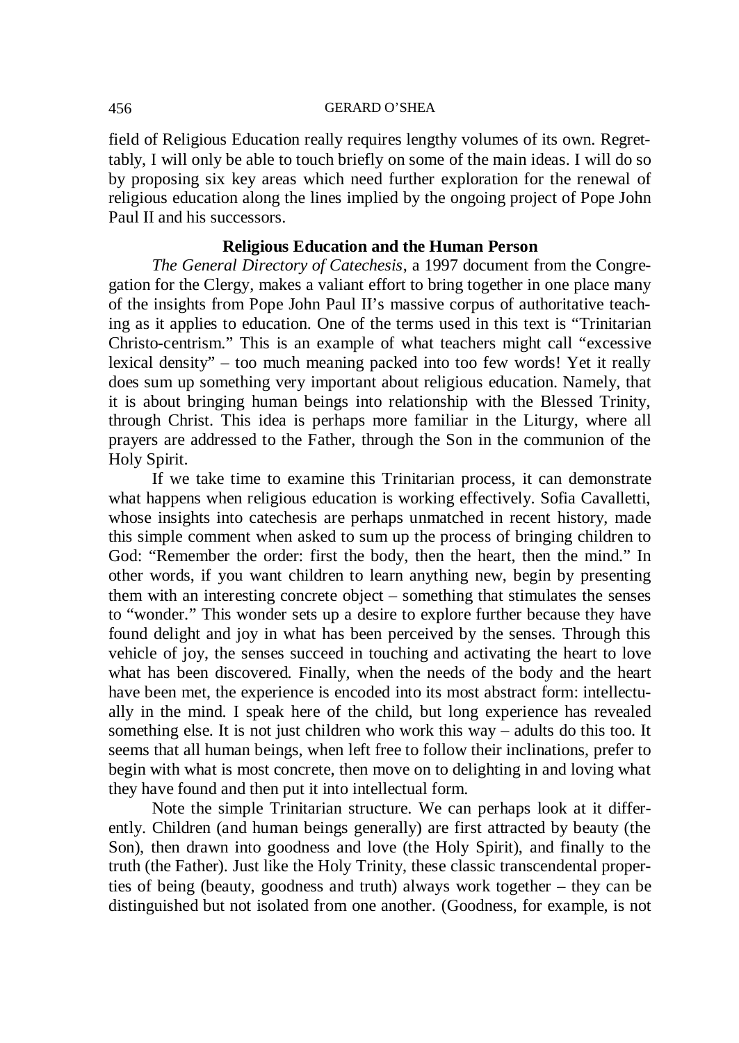field of Religious Education really requires lengthy volumes of its own. Regrettably, I will only be able to touch briefly on some of the main ideas. I will do so by proposing six key areas which need further exploration for the renewal of religious education along the lines implied by the ongoing project of Pope John Paul II and his successors.

# **Religious Education and the Human Person**

*The General Directory of Catechesis*, a 1997 document from the Congregation for the Clergy, makes a valiant effort to bring together in one place many of the insights from Pope John Paul II's massive corpus of authoritative teaching as it applies to education. One of the terms used in this text is "Trinitarian Christo-centrism." This is an example of what teachers might call "excessive lexical density" – too much meaning packed into too few words! Yet it really does sum up something very important about religious education. Namely, that it is about bringing human beings into relationship with the Blessed Trinity, through Christ. This idea is perhaps more familiar in the Liturgy, where all prayers are addressed to the Father, through the Son in the communion of the Holy Spirit.

If we take time to examine this Trinitarian process, it can demonstrate what happens when religious education is working effectively. Sofia Cavalletti, whose insights into catechesis are perhaps unmatched in recent history, made this simple comment when asked to sum up the process of bringing children to God: "Remember the order: first the body, then the heart, then the mind." In other words, if you want children to learn anything new, begin by presenting them with an interesting concrete object – something that stimulates the senses to "wonder." This wonder sets up a desire to explore further because they have found delight and joy in what has been perceived by the senses. Through this vehicle of joy, the senses succeed in touching and activating the heart to love what has been discovered. Finally, when the needs of the body and the heart have been met, the experience is encoded into its most abstract form: intellectually in the mind. I speak here of the child, but long experience has revealed something else. It is not just children who work this way – adults do this too. It seems that all human beings, when left free to follow their inclinations, prefer to begin with what is most concrete, then move on to delighting in and loving what they have found and then put it into intellectual form.

Note the simple Trinitarian structure. We can perhaps look at it differently. Children (and human beings generally) are first attracted by beauty (the Son), then drawn into goodness and love (the Holy Spirit), and finally to the truth (the Father). Just like the Holy Trinity, these classic transcendental properties of being (beauty, goodness and truth) always work together – they can be distinguished but not isolated from one another. (Goodness, for example, is not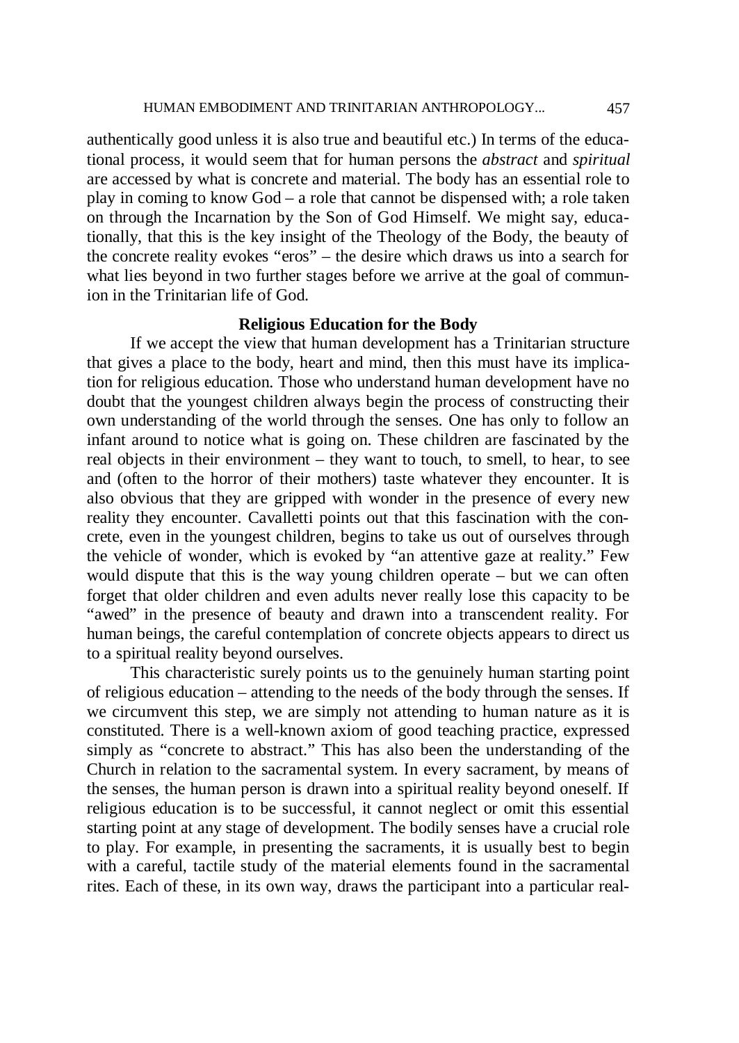authentically good unless it is also true and beautiful etc.) In terms of the educational process, it would seem that for human persons the *abstract* and *spiritual* are accessed by what is concrete and material. The body has an essential role to play in coming to know God – a role that cannot be dispensed with; a role taken on through the Incarnation by the Son of God Himself. We might say, educationally, that this is the key insight of the Theology of the Body, the beauty of the concrete reality evokes "eros" – the desire which draws us into a search for what lies beyond in two further stages before we arrive at the goal of communion in the Trinitarian life of God.

# **Religious Education for the Body**

If we accept the view that human development has a Trinitarian structure that gives a place to the body, heart and mind, then this must have its implication for religious education. Those who understand human development have no doubt that the youngest children always begin the process of constructing their own understanding of the world through the senses. One has only to follow an infant around to notice what is going on. These children are fascinated by the real objects in their environment – they want to touch, to smell, to hear, to see and (often to the horror of their mothers) taste whatever they encounter. It is also obvious that they are gripped with wonder in the presence of every new reality they encounter. Cavalletti points out that this fascination with the concrete, even in the youngest children, begins to take us out of ourselves through the vehicle of wonder, which is evoked by "an attentive gaze at reality." Few would dispute that this is the way young children operate – but we can often forget that older children and even adults never really lose this capacity to be "awed" in the presence of beauty and drawn into a transcendent reality. For human beings, the careful contemplation of concrete objects appears to direct us to a spiritual reality beyond ourselves.

This characteristic surely points us to the genuinely human starting point of religious education – attending to the needs of the body through the senses. If we circumvent this step, we are simply not attending to human nature as it is constituted. There is a well-known axiom of good teaching practice, expressed simply as "concrete to abstract." This has also been the understanding of the Church in relation to the sacramental system. In every sacrament, by means of the senses, the human person is drawn into a spiritual reality beyond oneself. If religious education is to be successful, it cannot neglect or omit this essential starting point at any stage of development. The bodily senses have a crucial role to play. For example, in presenting the sacraments, it is usually best to begin with a careful, tactile study of the material elements found in the sacramental rites. Each of these, in its own way, draws the participant into a particular real-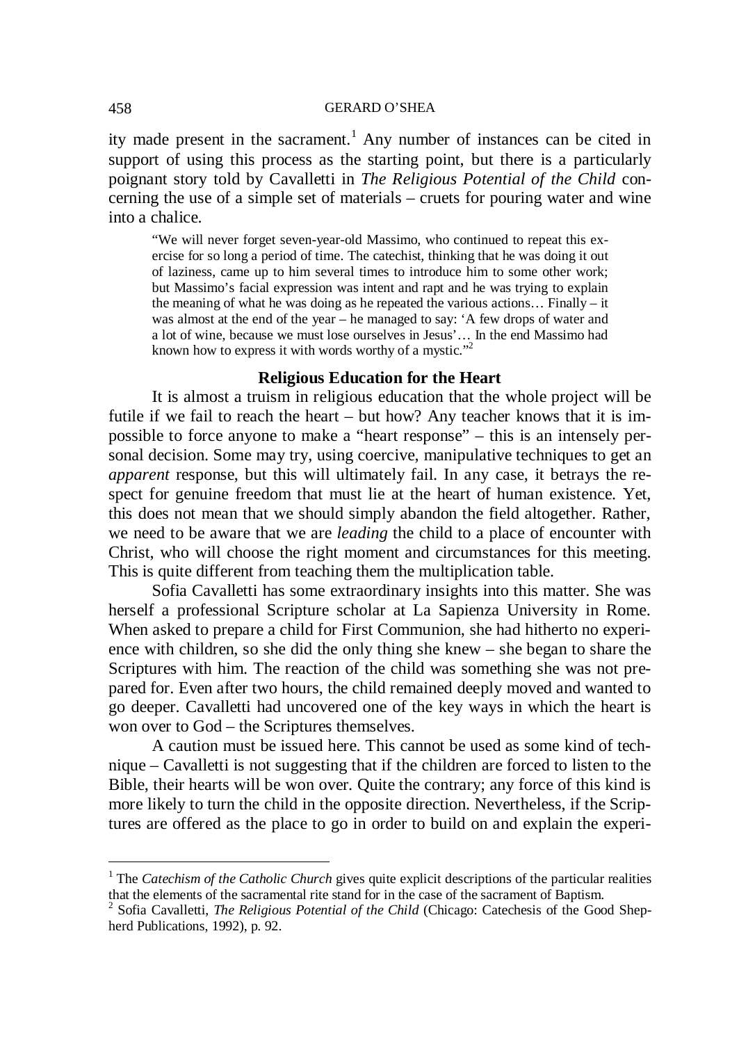ity made present in the sacrament.<sup>1</sup> Any number of instances can be cited in support of using this process as the starting point, but there is a particularly poignant story told by Cavalletti in *The Religious Potential of the Child* concerning the use of a simple set of materials – cruets for pouring water and wine into a chalice.

"We will never forget seven-year-old Massimo, who continued to repeat this exercise for so long a period of time. The catechist, thinking that he was doing it out of laziness, came up to him several times to introduce him to some other work; but Massimo's facial expression was intent and rapt and he was trying to explain the meaning of what he was doing as he repeated the various actions... Finally – it was almost at the end of the year – he managed to say: 'A few drops of water and a lot of wine, because we must lose ourselves in Jesus'… In the end Massimo had known how to express it with words worthy of a mystic."<sup>2</sup>

# **Religious Education for the Heart**

It is almost a truism in religious education that the whole project will be futile if we fail to reach the heart – but how? Any teacher knows that it is impossible to force anyone to make a "heart response" – this is an intensely personal decision. Some may try, using coercive, manipulative techniques to get an *apparent* response, but this will ultimately fail. In any case, it betrays the respect for genuine freedom that must lie at the heart of human existence. Yet, this does not mean that we should simply abandon the field altogether. Rather, we need to be aware that we are *leading* the child to a place of encounter with Christ, who will choose the right moment and circumstances for this meeting. This is quite different from teaching them the multiplication table.

Sofia Cavalletti has some extraordinary insights into this matter. She was herself a professional Scripture scholar at La Sapienza University in Rome. When asked to prepare a child for First Communion, she had hitherto no experience with children, so she did the only thing she knew – she began to share the Scriptures with him. The reaction of the child was something she was not prepared for. Even after two hours, the child remained deeply moved and wanted to go deeper. Cavalletti had uncovered one of the key ways in which the heart is won over to God – the Scriptures themselves.

A caution must be issued here. This cannot be used as some kind of technique – Cavalletti is not suggesting that if the children are forced to listen to the Bible, their hearts will be won over. Quite the contrary; any force of this kind is more likely to turn the child in the opposite direction. Nevertheless, if the Scriptures are offered as the place to go in order to build on and explain the experi-

<u>.</u>

<sup>&</sup>lt;sup>1</sup> The *Catechism of the Catholic Church* gives quite explicit descriptions of the particular realities that the elements of the sacramental rite stand for in the case of the sacrament of Baptism.

<sup>2</sup> Sofia Cavalletti, *The Religious Potential of the Child* (Chicago: Catechesis of the Good Shepherd Publications, 1992), p. 92.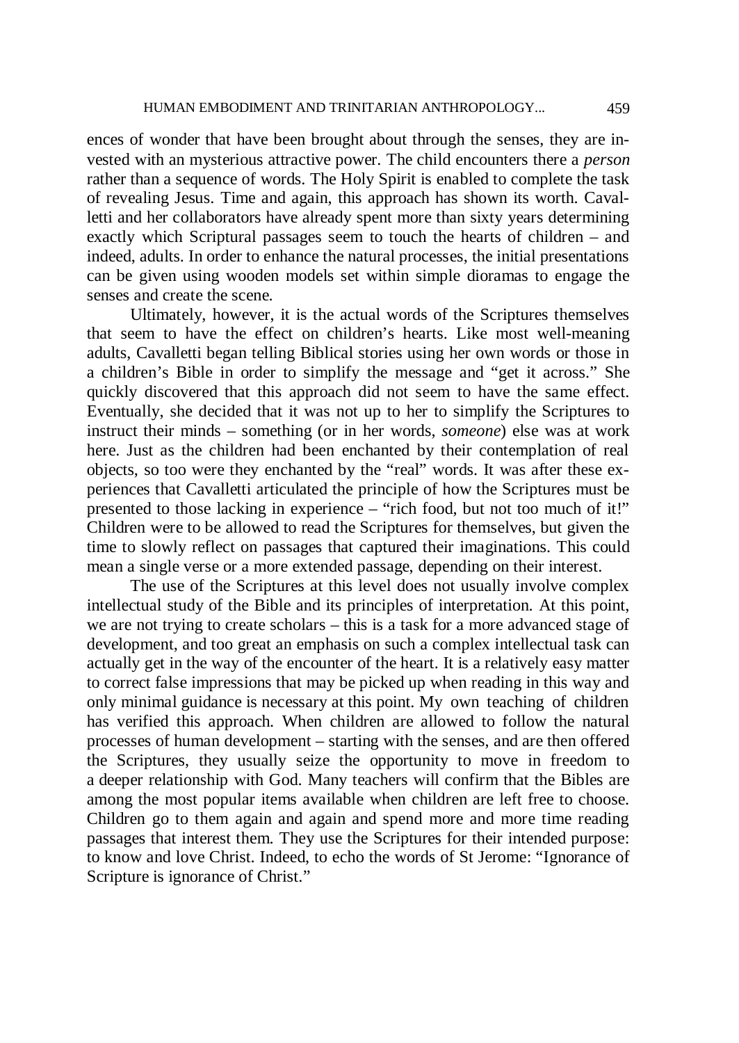ences of wonder that have been brought about through the senses, they are invested with an mysterious attractive power. The child encounters there a *person* rather than a sequence of words. The Holy Spirit is enabled to complete the task of revealing Jesus. Time and again, this approach has shown its worth. Cavalletti and her collaborators have already spent more than sixty years determining exactly which Scriptural passages seem to touch the hearts of children – and indeed, adults. In order to enhance the natural processes, the initial presentations can be given using wooden models set within simple dioramas to engage the senses and create the scene.

Ultimately, however, it is the actual words of the Scriptures themselves that seem to have the effect on children's hearts. Like most well-meaning adults, Cavalletti began telling Biblical stories using her own words or those in a children's Bible in order to simplify the message and "get it across." She quickly discovered that this approach did not seem to have the same effect. Eventually, she decided that it was not up to her to simplify the Scriptures to instruct their minds – something (or in her words, *someone*) else was at work here. Just as the children had been enchanted by their contemplation of real objects, so too were they enchanted by the "real" words. It was after these experiences that Cavalletti articulated the principle of how the Scriptures must be presented to those lacking in experience – "rich food, but not too much of it!" Children were to be allowed to read the Scriptures for themselves, but given the time to slowly reflect on passages that captured their imaginations. This could mean a single verse or a more extended passage, depending on their interest.

The use of the Scriptures at this level does not usually involve complex intellectual study of the Bible and its principles of interpretation. At this point, we are not trying to create scholars – this is a task for a more advanced stage of development, and too great an emphasis on such a complex intellectual task can actually get in the way of the encounter of the heart. It is a relatively easy matter to correct false impressions that may be picked up when reading in this way and only minimal guidance is necessary at this point. My own teaching of children has verified this approach. When children are allowed to follow the natural processes of human development – starting with the senses, and are then offered the Scriptures, they usually seize the opportunity to move in freedom to a deeper relationship with God. Many teachers will confirm that the Bibles are among the most popular items available when children are left free to choose. Children go to them again and again and spend more and more time reading passages that interest them. They use the Scriptures for their intended purpose: to know and love Christ. Indeed, to echo the words of St Jerome: "Ignorance of Scripture is ignorance of Christ."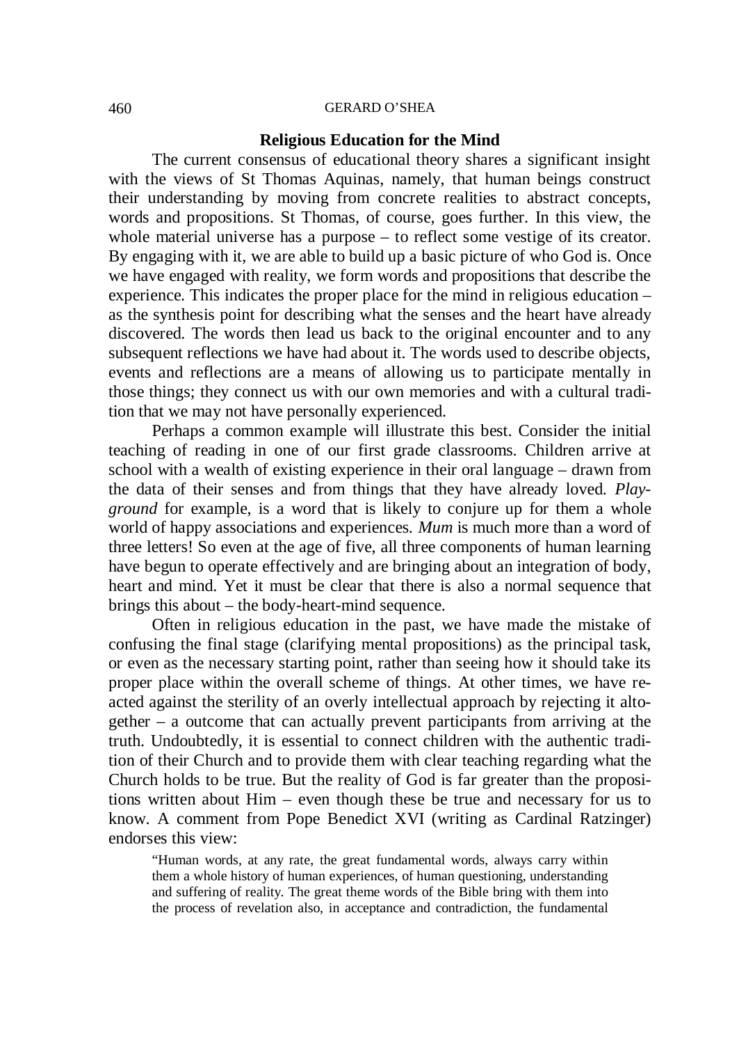# **Religious Education for the Mind**

The current consensus of educational theory shares a significant insight with the views of St Thomas Aquinas, namely, that human beings construct their understanding by moving from concrete realities to abstract concepts, words and propositions. St Thomas, of course, goes further. In this view, the whole material universe has a purpose – to reflect some vestige of its creator. By engaging with it, we are able to build up a basic picture of who God is. Once we have engaged with reality, we form words and propositions that describe the experience. This indicates the proper place for the mind in religious education – as the synthesis point for describing what the senses and the heart have already discovered. The words then lead us back to the original encounter and to any subsequent reflections we have had about it. The words used to describe objects, events and reflections are a means of allowing us to participate mentally in those things; they connect us with our own memories and with a cultural tradition that we may not have personally experienced.

Perhaps a common example will illustrate this best. Consider the initial teaching of reading in one of our first grade classrooms. Children arrive at school with a wealth of existing experience in their oral language – drawn from the data of their senses and from things that they have already loved. *Playground* for example, is a word that is likely to conjure up for them a whole world of happy associations and experiences. *Mum* is much more than a word of three letters! So even at the age of five, all three components of human learning have begun to operate effectively and are bringing about an integration of body, heart and mind. Yet it must be clear that there is also a normal sequence that brings this about – the body-heart-mind sequence.

Often in religious education in the past, we have made the mistake of confusing the final stage (clarifying mental propositions) as the principal task, or even as the necessary starting point, rather than seeing how it should take its proper place within the overall scheme of things. At other times, we have reacted against the sterility of an overly intellectual approach by rejecting it altogether – a outcome that can actually prevent participants from arriving at the truth. Undoubtedly, it is essential to connect children with the authentic tradition of their Church and to provide them with clear teaching regarding what the Church holds to be true. But the reality of God is far greater than the propositions written about Him – even though these be true and necessary for us to know. A comment from Pope Benedict XVI (writing as Cardinal Ratzinger) endorses this view:

"Human words, at any rate, the great fundamental words, always carry within them a whole history of human experiences, of human questioning, understanding and suffering of reality. The great theme words of the Bible bring with them into the process of revelation also, in acceptance and contradiction, the fundamental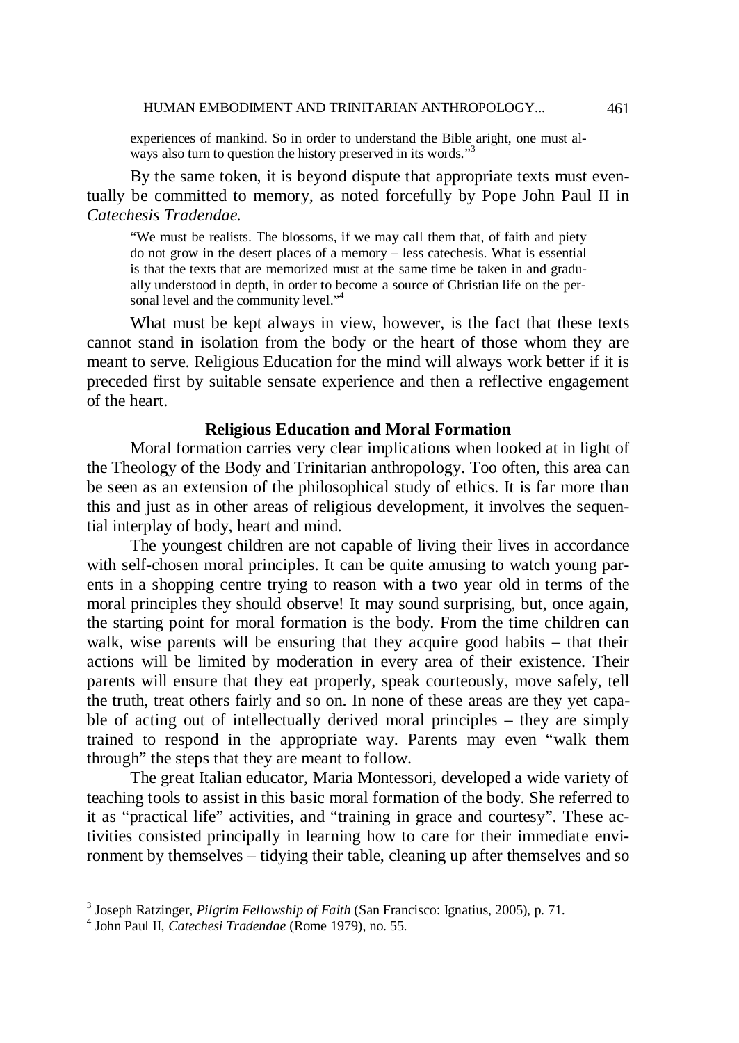experiences of mankind. So in order to understand the Bible aright, one must always also turn to question the history preserved in its words."<sup>3</sup>

By the same token, it is beyond dispute that appropriate texts must eventually be committed to memory, as noted forcefully by Pope John Paul II in *Catechesis Tradendae.* 

"We must be realists. The blossoms, if we may call them that, of faith and piety do not grow in the desert places of a memory – less catechesis. What is essential is that the texts that are memorized must at the same time be taken in and gradually understood in depth, in order to become a source of Christian life on the personal level and the community level."<sup>4</sup>

What must be kept always in view, however, is the fact that these texts cannot stand in isolation from the body or the heart of those whom they are meant to serve. Religious Education for the mind will always work better if it is preceded first by suitable sensate experience and then a reflective engagement of the heart.

# **Religious Education and Moral Formation**

Moral formation carries very clear implications when looked at in light of the Theology of the Body and Trinitarian anthropology. Too often, this area can be seen as an extension of the philosophical study of ethics. It is far more than this and just as in other areas of religious development, it involves the sequential interplay of body, heart and mind.

The youngest children are not capable of living their lives in accordance with self-chosen moral principles. It can be quite amusing to watch young parents in a shopping centre trying to reason with a two year old in terms of the moral principles they should observe! It may sound surprising, but, once again, the starting point for moral formation is the body. From the time children can walk, wise parents will be ensuring that they acquire good habits – that their actions will be limited by moderation in every area of their existence. Their parents will ensure that they eat properly, speak courteously, move safely, tell the truth, treat others fairly and so on. In none of these areas are they yet capable of acting out of intellectually derived moral principles – they are simply trained to respond in the appropriate way. Parents may even "walk them through" the steps that they are meant to follow.

The great Italian educator, Maria Montessori, developed a wide variety of teaching tools to assist in this basic moral formation of the body. She referred to it as "practical life" activities, and "training in grace and courtesy". These activities consisted principally in learning how to care for their immediate environment by themselves – tidying their table, cleaning up after themselves and so

 $\overline{a}$ 

<sup>3</sup> Joseph Ratzinger, *Pilgrim Fellowship of Faith* (San Francisco: Ignatius, 2005), p. 71.

<sup>4</sup> John Paul II, *Catechesi Tradendae* (Rome 1979), no. 55.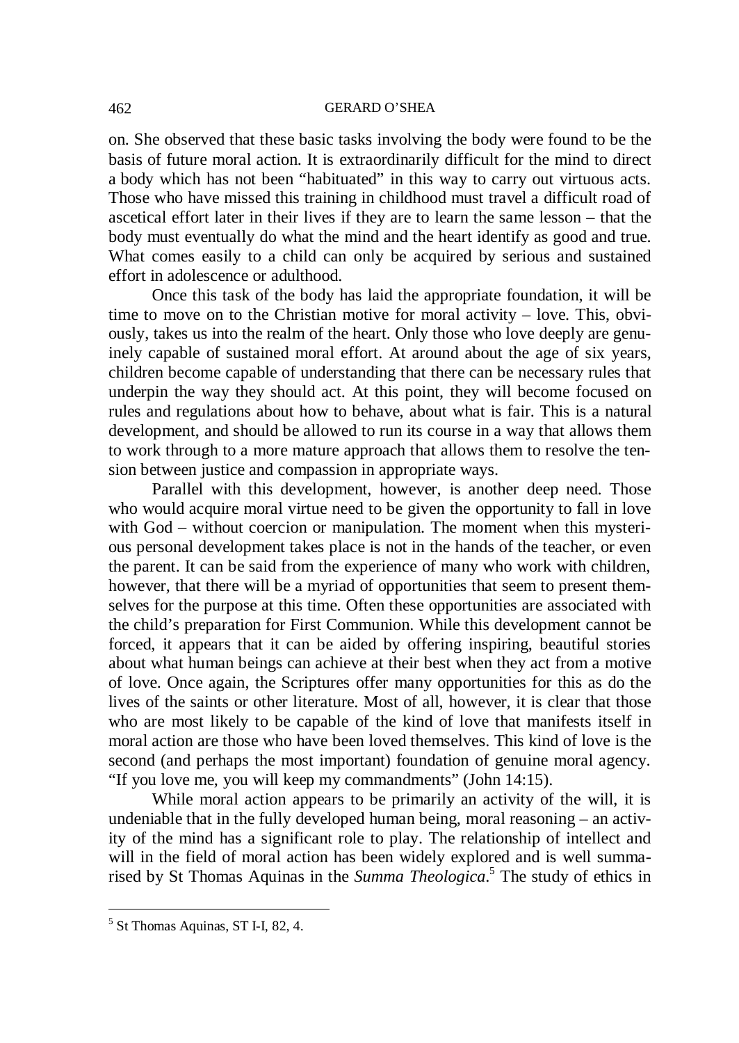on. She observed that these basic tasks involving the body were found to be the basis of future moral action. It is extraordinarily difficult for the mind to direct a body which has not been "habituated" in this way to carry out virtuous acts. Those who have missed this training in childhood must travel a difficult road of ascetical effort later in their lives if they are to learn the same lesson – that the body must eventually do what the mind and the heart identify as good and true. What comes easily to a child can only be acquired by serious and sustained effort in adolescence or adulthood.

Once this task of the body has laid the appropriate foundation, it will be time to move on to the Christian motive for moral activity – love. This, obviously, takes us into the realm of the heart. Only those who love deeply are genuinely capable of sustained moral effort. At around about the age of six years, children become capable of understanding that there can be necessary rules that underpin the way they should act. At this point, they will become focused on rules and regulations about how to behave, about what is fair. This is a natural development, and should be allowed to run its course in a way that allows them to work through to a more mature approach that allows them to resolve the tension between justice and compassion in appropriate ways.

Parallel with this development, however, is another deep need. Those who would acquire moral virtue need to be given the opportunity to fall in love with God – without coercion or manipulation. The moment when this mysterious personal development takes place is not in the hands of the teacher, or even the parent. It can be said from the experience of many who work with children, however, that there will be a myriad of opportunities that seem to present themselves for the purpose at this time. Often these opportunities are associated with the child's preparation for First Communion. While this development cannot be forced, it appears that it can be aided by offering inspiring, beautiful stories about what human beings can achieve at their best when they act from a motive of love. Once again, the Scriptures offer many opportunities for this as do the lives of the saints or other literature. Most of all, however, it is clear that those who are most likely to be capable of the kind of love that manifests itself in moral action are those who have been loved themselves. This kind of love is the second (and perhaps the most important) foundation of genuine moral agency. "If you love me, you will keep my commandments" (John 14:15).

While moral action appears to be primarily an activity of the will, it is undeniable that in the fully developed human being, moral reasoning – an activity of the mind has a significant role to play. The relationship of intellect and will in the field of moral action has been widely explored and is well summarised by St Thomas Aquinas in the *Summa Theologica*. <sup>5</sup> The study of ethics in

 5 St Thomas Aquinas, ST I-I, 82, 4.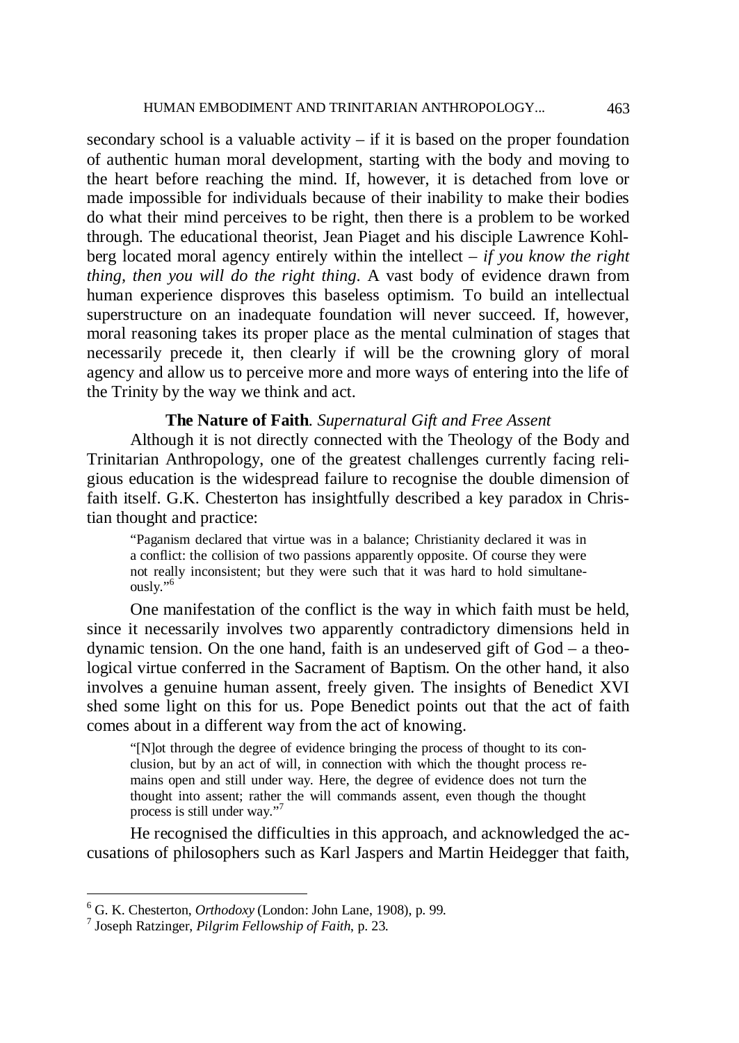secondary school is a valuable activity  $-$  if it is based on the proper foundation of authentic human moral development, starting with the body and moving to the heart before reaching the mind. If, however, it is detached from love or made impossible for individuals because of their inability to make their bodies do what their mind perceives to be right, then there is a problem to be worked through. The educational theorist, Jean Piaget and his disciple Lawrence Kohlberg located moral agency entirely within the intellect – *if you know the right thing, then you will do the right thing*. A vast body of evidence drawn from human experience disproves this baseless optimism. To build an intellectual superstructure on an inadequate foundation will never succeed. If, however, moral reasoning takes its proper place as the mental culmination of stages that necessarily precede it, then clearly if will be the crowning glory of moral agency and allow us to perceive more and more ways of entering into the life of the Trinity by the way we think and act.

# **The Nature of Faith**. *Supernatural Gift and Free Assent*

Although it is not directly connected with the Theology of the Body and Trinitarian Anthropology, one of the greatest challenges currently facing religious education is the widespread failure to recognise the double dimension of faith itself. G.K. Chesterton has insightfully described a key paradox in Christian thought and practice:

"Paganism declared that virtue was in a balance; Christianity declared it was in a conflict: the collision of two passions apparently opposite. Of course they were not really inconsistent; but they were such that it was hard to hold simultaneously."<sup>6</sup>

One manifestation of the conflict is the way in which faith must be held, since it necessarily involves two apparently contradictory dimensions held in dynamic tension. On the one hand, faith is an undeserved gift of  $God - a$  theological virtue conferred in the Sacrament of Baptism. On the other hand, it also involves a genuine human assent, freely given. The insights of Benedict XVI shed some light on this for us. Pope Benedict points out that the act of faith comes about in a different way from the act of knowing.

"[N]ot through the degree of evidence bringing the process of thought to its conclusion, but by an act of will, in connection with which the thought process remains open and still under way. Here, the degree of evidence does not turn the thought into assent; rather the will commands assent, even though the thought process is still under way."<sup>7</sup>

He recognised the difficulties in this approach, and acknowledged the accusations of philosophers such as Karl Jaspers and Martin Heidegger that faith,

 6 G. K. Chesterton, *Orthodoxy* (London: John Lane, 1908), p. 99. 7 Joseph Ratzinger, *Pilgrim Fellowship of Faith*, p. 23.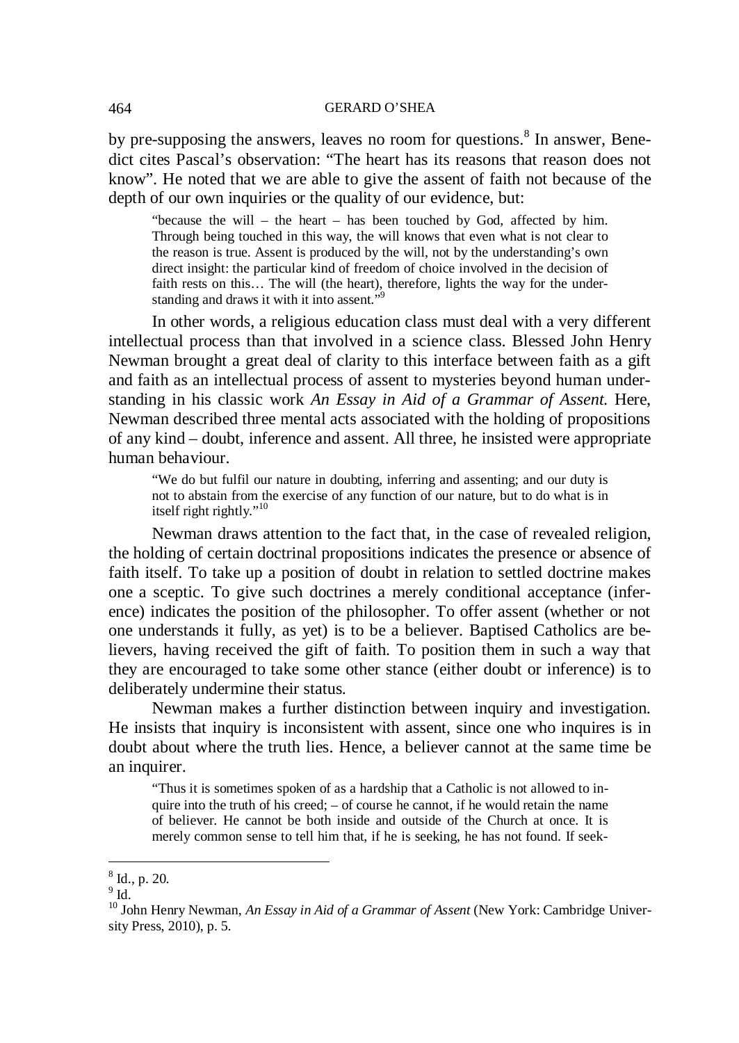by pre-supposing the answers, leaves no room for questions.<sup>8</sup> In answer, Benedict cites Pascal's observation: "The heart has its reasons that reason does not know". He noted that we are able to give the assent of faith not because of the depth of our own inquiries or the quality of our evidence, but:

"because the will – the heart – has been touched by God, affected by him. Through being touched in this way, the will knows that even what is not clear to the reason is true. Assent is produced by the will, not by the understanding's own direct insight: the particular kind of freedom of choice involved in the decision of faith rests on this… The will (the heart), therefore, lights the way for the understanding and draws it with it into assent."<sup>9</sup>

In other words, a religious education class must deal with a very different intellectual process than that involved in a science class. Blessed John Henry Newman brought a great deal of clarity to this interface between faith as a gift and faith as an intellectual process of assent to mysteries beyond human understanding in his classic work *An Essay in Aid of a Grammar of Assent*. Here, Newman described three mental acts associated with the holding of propositions of any kind – doubt, inference and assent. All three, he insisted were appropriate human behaviour.

"We do but fulfil our nature in doubting, inferring and assenting; and our duty is not to abstain from the exercise of any function of our nature, but to do what is in itself right rightly."<sup>10</sup>

Newman draws attention to the fact that, in the case of revealed religion, the holding of certain doctrinal propositions indicates the presence or absence of faith itself. To take up a position of doubt in relation to settled doctrine makes one a sceptic. To give such doctrines a merely conditional acceptance (inference) indicates the position of the philosopher. To offer assent (whether or not one understands it fully, as yet) is to be a believer. Baptised Catholics are believers, having received the gift of faith. To position them in such a way that they are encouraged to take some other stance (either doubt or inference) is to deliberately undermine their status.

Newman makes a further distinction between inquiry and investigation. He insists that inquiry is inconsistent with assent, since one who inquires is in doubt about where the truth lies. Hence, a believer cannot at the same time be an inquirer.

"Thus it is sometimes spoken of as a hardship that a Catholic is not allowed to inquire into the truth of his creed;  $-$  of course he cannot, if he would retain the name of believer. He cannot be both inside and outside of the Church at once. It is merely common sense to tell him that, if he is seeking, he has not found. If seek-

<u>.</u>

<sup>8</sup> Id., p. 20.

 $^9$  Id.

<sup>10</sup> John Henry Newman, *An Essay in Aid of a Grammar of Assent* (New York: Cambridge University Press, 2010), p. 5.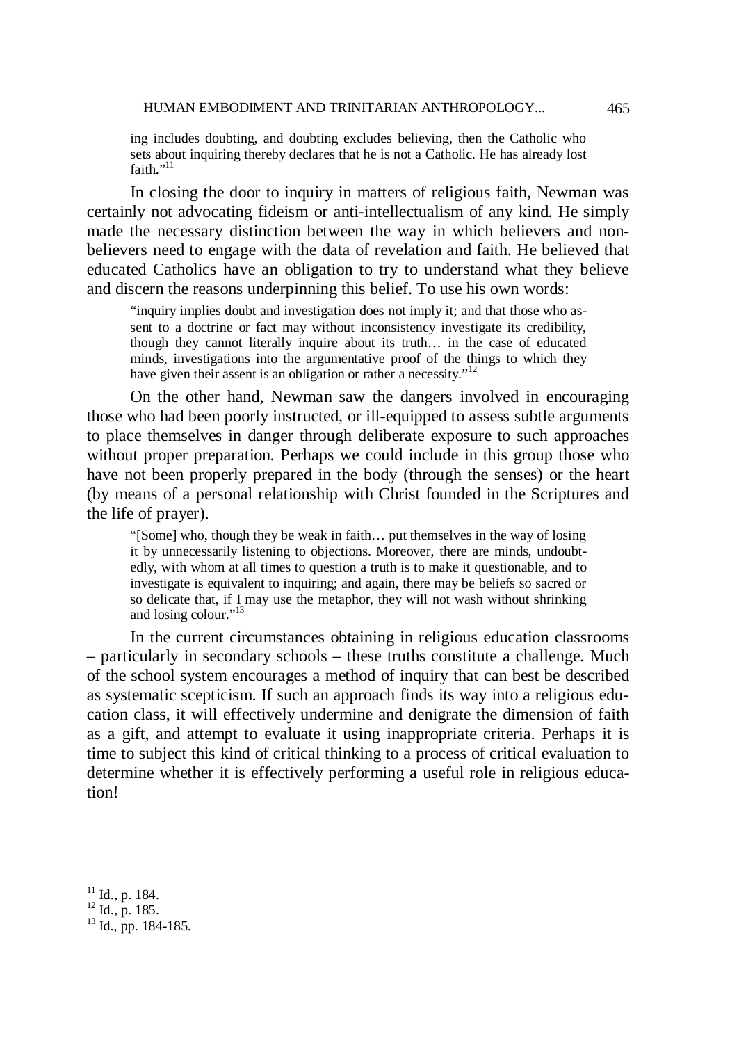ing includes doubting, and doubting excludes believing, then the Catholic who sets about inquiring thereby declares that he is not a Catholic. He has already lost faith."<sup>11</sup>

In closing the door to inquiry in matters of religious faith, Newman was certainly not advocating fideism or anti-intellectualism of any kind. He simply made the necessary distinction between the way in which believers and nonbelievers need to engage with the data of revelation and faith. He believed that educated Catholics have an obligation to try to understand what they believe and discern the reasons underpinning this belief. To use his own words:

"inquiry implies doubt and investigation does not imply it; and that those who assent to a doctrine or fact may without inconsistency investigate its credibility, though they cannot literally inquire about its truth… in the case of educated minds, investigations into the argumentative proof of the things to which they have given their assent is an obligation or rather a necessity."<sup>12</sup>

On the other hand, Newman saw the dangers involved in encouraging those who had been poorly instructed, or ill-equipped to assess subtle arguments to place themselves in danger through deliberate exposure to such approaches without proper preparation. Perhaps we could include in this group those who have not been properly prepared in the body (through the senses) or the heart (by means of a personal relationship with Christ founded in the Scriptures and the life of prayer).

"[Some] who, though they be weak in faith… put themselves in the way of losing it by unnecessarily listening to objections. Moreover, there are minds, undoubtedly, with whom at all times to question a truth is to make it questionable, and to investigate is equivalent to inquiring; and again, there may be beliefs so sacred or so delicate that, if I may use the metaphor, they will not wash without shrinking and losing colour."<sup>13</sup>

In the current circumstances obtaining in religious education classrooms – particularly in secondary schools – these truths constitute a challenge. Much of the school system encourages a method of inquiry that can best be described as systematic scepticism. If such an approach finds its way into a religious education class, it will effectively undermine and denigrate the dimension of faith as a gift, and attempt to evaluate it using inappropriate criteria. Perhaps it is time to subject this kind of critical thinking to a process of critical evaluation to determine whether it is effectively performing a useful role in religious education!

 $\overline{a}$ 

 $11$  Id., p. 184.

 $12$  Id., p. 185.

<sup>&</sup>lt;sup>13</sup> Id., pp. 184-185.